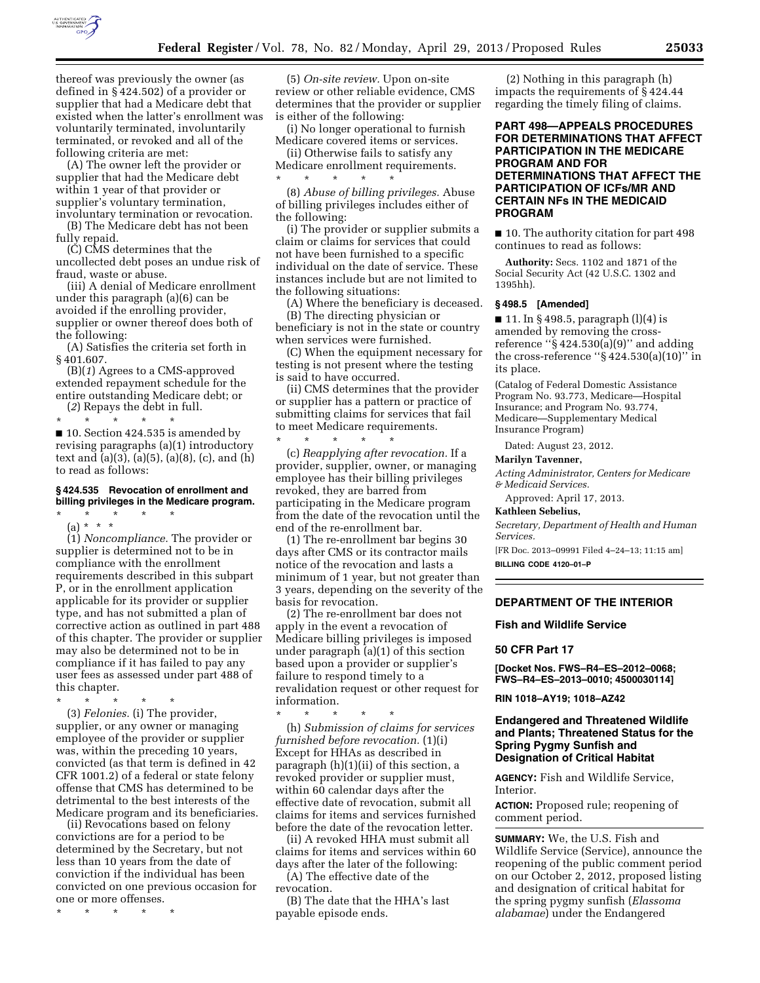

thereof was previously the owner (as defined in § 424.502) of a provider or supplier that had a Medicare debt that existed when the latter's enrollment was voluntarily terminated, involuntarily terminated, or revoked and all of the following criteria are met:

(A) The owner left the provider or supplier that had the Medicare debt within 1 year of that provider or supplier's voluntary termination, involuntary termination or revocation.

(B) The Medicare debt has not been fully repaid.

(C) CMS determines that the uncollected debt poses an undue risk of fraud, waste or abuse.

(iii) A denial of Medicare enrollment under this paragraph (a)(6) can be avoided if the enrolling provider, supplier or owner thereof does both of the following:

(A) Satisfies the criteria set forth in § 401.607.

(B)(*1*) Agrees to a CMS-approved extended repayment schedule for the entire outstanding Medicare debt; or

(*2*) Repays the debt in full.

\* \* \* \* \* ■ 10. Section 424.535 is amended by revising paragraphs (a)(1) introductory text and (a)(3), (a)(5), (a)(8), (c), and (h) to read as follows:

# **§ 424.535 Revocation of enrollment and billing privileges in the Medicare program.**

\* \* \* \* \* (a) \* \* \*

(1) *Noncompliance.* The provider or supplier is determined not to be in compliance with the enrollment requirements described in this subpart P, or in the enrollment application applicable for its provider or supplier type, and has not submitted a plan of corrective action as outlined in part 488 of this chapter. The provider or supplier may also be determined not to be in compliance if it has failed to pay any user fees as assessed under part 488 of this chapter.

\* \* \* \* \*

(3) *Felonies.* (i) The provider, supplier, or any owner or managing employee of the provider or supplier was, within the preceding 10 years, convicted (as that term is defined in 42 CFR 1001.2) of a federal or state felony offense that CMS has determined to be detrimental to the best interests of the Medicare program and its beneficiaries.

(ii) Revocations based on felony convictions are for a period to be determined by the Secretary, but not less than 10 years from the date of conviction if the individual has been convicted on one previous occasion for one or more offenses.

\* \* \* \* \*

(5) *On-site review.* Upon on-site review or other reliable evidence, CMS determines that the provider or supplier is either of the following:

(i) No longer operational to furnish Medicare covered items or services.

(ii) Otherwise fails to satisfy any Medicare enrollment requirements.

\* \* \* \* \* (8) *Abuse of billing privileges.* Abuse of billing privileges includes either of the following:

(i) The provider or supplier submits a claim or claims for services that could not have been furnished to a specific individual on the date of service. These instances include but are not limited to the following situations:

(A) Where the beneficiary is deceased. (B) The directing physician or beneficiary is not in the state or country when services were furnished.

(C) When the equipment necessary for testing is not present where the testing is said to have occurred.

(ii) CMS determines that the provider or supplier has a pattern or practice of submitting claims for services that fail to meet Medicare requirements.

\* \* \* \* \* (c) *Reapplying after revocation.* If a provider, supplier, owner, or managing employee has their billing privileges revoked, they are barred from participating in the Medicare program from the date of the revocation until the end of the re-enrollment bar.

(1) The re-enrollment bar begins 30 days after CMS or its contractor mails notice of the revocation and lasts a minimum of 1 year, but not greater than 3 years, depending on the severity of the basis for revocation.

(2) The re-enrollment bar does not apply in the event a revocation of Medicare billing privileges is imposed under paragraph (a)(1) of this section based upon a provider or supplier's failure to respond timely to a revalidation request or other request for information.

\* \* \* \* \* (h) *Submission of claims for services furnished before revocation.* (1)(i) Except for HHAs as described in paragraph (h)(1)(ii) of this section, a revoked provider or supplier must, within 60 calendar days after the effective date of revocation, submit all claims for items and services furnished before the date of the revocation letter.

(ii) A revoked HHA must submit all claims for items and services within 60 days after the later of the following:

(A) The effective date of the revocation.

(B) The date that the HHA's last payable episode ends.

(2) Nothing in this paragraph (h) impacts the requirements of § 424.44 regarding the timely filing of claims.

# **PART 498—APPEALS PROCEDURES FOR DETERMINATIONS THAT AFFECT PARTICIPATION IN THE MEDICARE PROGRAM AND FOR DETERMINATIONS THAT AFFECT THE PARTICIPATION OF ICFs/MR AND CERTAIN NFs IN THE MEDICAID PROGRAM**

■ 10. The authority citation for part 498 continues to read as follows:

**Authority:** Secs. 1102 and 1871 of the Social Security Act (42 U.S.C. 1302 and 1395hh).

## **§ 498.5 [Amended]**

■ 11. In § 498.5, paragraph (l)(4) is amended by removing the crossreference " $\S$  424.530(a)(9)" and adding the cross-reference " $\S 424.530(a)(10)$ " in its place.

(Catalog of Federal Domestic Assistance Program No. 93.773, Medicare—Hospital Insurance; and Program No. 93.774, Medicare—Supplementary Medical Insurance Program)

Dated: August 23, 2012.

#### **Marilyn Tavenner,**

*Acting Administrator, Centers for Medicare & Medicaid Services.* 

Approved: April 17, 2013.

## **Kathleen Sebelius,**

*Secretary, Department of Health and Human Services.* 

[FR Doc. 2013–09991 Filed 4–24–13; 11:15 am] **BILLING CODE 4120–01–P** 

# **DEPARTMENT OF THE INTERIOR**

#### **Fish and Wildlife Service**

## **50 CFR Part 17**

**[Docket Nos. FWS–R4–ES–2012–0068; FWS–R4–ES–2013–0010; 4500030114]** 

**RIN 1018–AY19; 1018–AZ42** 

## **Endangered and Threatened Wildlife and Plants; Threatened Status for the Spring Pygmy Sunfish and Designation of Critical Habitat**

**AGENCY:** Fish and Wildlife Service, Interior.

**ACTION:** Proposed rule; reopening of comment period.

**SUMMARY:** We, the U.S. Fish and Wildlife Service (Service), announce the reopening of the public comment period on our October 2, 2012, proposed listing and designation of critical habitat for the spring pygmy sunfish (*Elassoma alabamae*) under the Endangered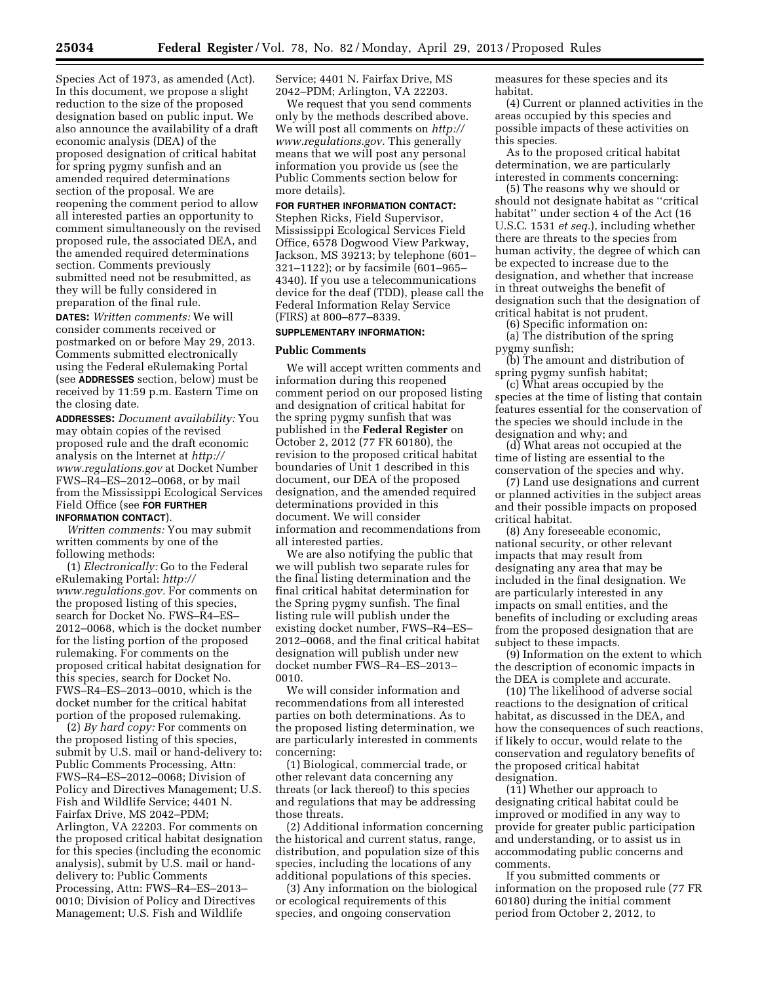Species Act of 1973, as amended (Act). In this document, we propose a slight reduction to the size of the proposed designation based on public input. We also announce the availability of a draft economic analysis (DEA) of the proposed designation of critical habitat for spring pygmy sunfish and an amended required determinations section of the proposal. We are reopening the comment period to allow all interested parties an opportunity to comment simultaneously on the revised proposed rule, the associated DEA, and the amended required determinations section. Comments previously submitted need not be resubmitted, as they will be fully considered in preparation of the final rule.

**DATES:** *Written comments:* We will consider comments received or postmarked on or before May 29, 2013. Comments submitted electronically using the Federal eRulemaking Portal (see **ADDRESSES** section, below) must be received by 11:59 p.m. Eastern Time on the closing date.

**ADDRESSES:** *Document availability:* You may obtain copies of the revised proposed rule and the draft economic analysis on the Internet at *[http://](http://www.regulations.gov)  [www.regulations.gov](http://www.regulations.gov)* at Docket Number FWS–R4–ES–2012–0068, or by mail from the Mississippi Ecological Services Field Office (see **FOR FURTHER INFORMATION CONTACT**).

*Written comments:* You may submit written comments by one of the following methods:

(1) *Electronically:* Go to the Federal eRulemaking Portal: *[http://](http://www.regulations.gov) [www.regulations.gov.](http://www.regulations.gov)* For comments on the proposed listing of this species, search for Docket No. FWS–R4–ES– 2012–0068, which is the docket number for the listing portion of the proposed rulemaking. For comments on the proposed critical habitat designation for this species, search for Docket No. FWS–R4–ES–2013–0010, which is the docket number for the critical habitat portion of the proposed rulemaking.

(2) *By hard copy:* For comments on the proposed listing of this species, submit by U.S. mail or hand-delivery to: Public Comments Processing, Attn: FWS–R4–ES–2012–0068; Division of Policy and Directives Management; U.S. Fish and Wildlife Service; 4401 N. Fairfax Drive, MS 2042–PDM; Arlington, VA 22203. For comments on the proposed critical habitat designation for this species (including the economic analysis), submit by U.S. mail or handdelivery to: Public Comments Processing, Attn: FWS–R4–ES–2013– 0010; Division of Policy and Directives Management; U.S. Fish and Wildlife

Service; 4401 N. Fairfax Drive, MS 2042–PDM; Arlington, VA 22203.

We request that you send comments only by the methods described above. We will post all comments on *[http://](http://www.regulations.gov) [www.regulations.gov.](http://www.regulations.gov)* This generally means that we will post any personal information you provide us (see the Public Comments section below for more details).

# **FOR FURTHER INFORMATION CONTACT:**

Stephen Ricks, Field Supervisor, Mississippi Ecological Services Field Office, 6578 Dogwood View Parkway, Jackson, MS 39213; by telephone (601– 321–1122); or by facsimile (601–965– 4340). If you use a telecommunications device for the deaf (TDD), please call the Federal Information Relay Service (FIRS) at 800–877–8339.

### **SUPPLEMENTARY INFORMATION:**

#### **Public Comments**

We will accept written comments and information during this reopened comment period on our proposed listing and designation of critical habitat for the spring pygmy sunfish that was published in the **Federal Register** on October 2, 2012 (77 FR 60180), the revision to the proposed critical habitat boundaries of Unit 1 described in this document, our DEA of the proposed designation, and the amended required determinations provided in this document. We will consider information and recommendations from all interested parties.

We are also notifying the public that we will publish two separate rules for the final listing determination and the final critical habitat determination for the Spring pygmy sunfish. The final listing rule will publish under the existing docket number, FWS–R4–ES– 2012–0068, and the final critical habitat designation will publish under new docket number FWS–R4–ES–2013– 0010.

We will consider information and recommendations from all interested parties on both determinations. As to the proposed listing determination, we are particularly interested in comments concerning:

(1) Biological, commercial trade, or other relevant data concerning any threats (or lack thereof) to this species and regulations that may be addressing those threats.

(2) Additional information concerning the historical and current status, range, distribution, and population size of this species, including the locations of any additional populations of this species.

(3) Any information on the biological or ecological requirements of this species, and ongoing conservation

measures for these species and its habitat.

(4) Current or planned activities in the areas occupied by this species and possible impacts of these activities on this species.

As to the proposed critical habitat determination, we are particularly interested in comments concerning:

(5) The reasons why we should or should not designate habitat as ''critical habitat'' under section 4 of the Act (16 U.S.C. 1531 *et seq.*), including whether there are threats to the species from human activity, the degree of which can be expected to increase due to the designation, and whether that increase in threat outweighs the benefit of designation such that the designation of critical habitat is not prudent.

(6) Specific information on:

(a) The distribution of the spring pygmy sunfish;

(b) The amount and distribution of spring pygmy sunfish habitat;

(c) What areas occupied by the species at the time of listing that contain features essential for the conservation of the species we should include in the designation and why; and

(d) What areas not occupied at the time of listing are essential to the conservation of the species and why.

(7) Land use designations and current or planned activities in the subject areas and their possible impacts on proposed critical habitat.

(8) Any foreseeable economic, national security, or other relevant impacts that may result from designating any area that may be included in the final designation. We are particularly interested in any impacts on small entities, and the benefits of including or excluding areas from the proposed designation that are subject to these impacts.

(9) Information on the extent to which the description of economic impacts in the DEA is complete and accurate.

(10) The likelihood of adverse social reactions to the designation of critical habitat, as discussed in the DEA, and how the consequences of such reactions, if likely to occur, would relate to the conservation and regulatory benefits of the proposed critical habitat designation.

(11) Whether our approach to designating critical habitat could be improved or modified in any way to provide for greater public participation and understanding, or to assist us in accommodating public concerns and comments.

If you submitted comments or information on the proposed rule (77 FR 60180) during the initial comment period from October 2, 2012, to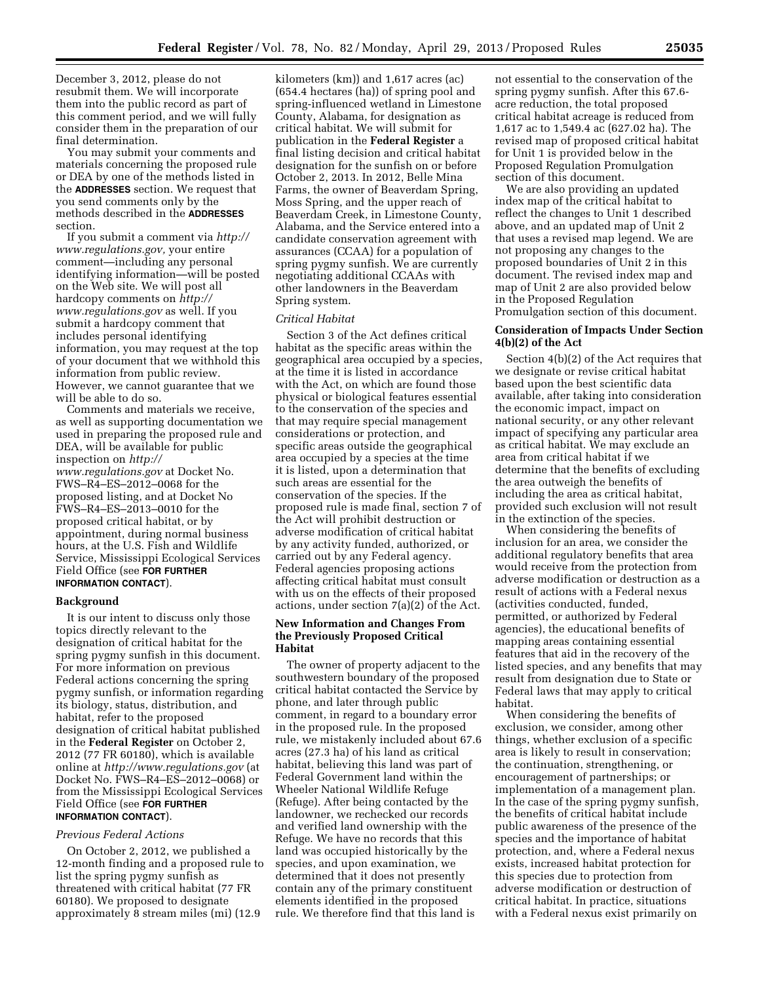December 3, 2012, please do not resubmit them. We will incorporate them into the public record as part of this comment period, and we will fully consider them in the preparation of our final determination.

You may submit your comments and materials concerning the proposed rule or DEA by one of the methods listed in the **ADDRESSES** section. We request that you send comments only by the methods described in the **ADDRESSES** section.

If you submit a comment via *[http://](http://www.regulations.gov)  [www.regulations.gov,](http://www.regulations.gov)* your entire comment—including any personal identifying information—will be posted on the Web site. We will post all hardcopy comments on *[http://](http://www.regulations.gov)  [www.regulations.gov](http://www.regulations.gov)* as well. If you submit a hardcopy comment that includes personal identifying information, you may request at the top of your document that we withhold this information from public review. However, we cannot guarantee that we will be able to do so.

Comments and materials we receive, as well as supporting documentation we used in preparing the proposed rule and DEA, will be available for public inspection on *[http://](http://www.regulations.gov) [www.regulations.gov](http://www.regulations.gov)* at Docket No. FWS–R4–ES–2012–0068 for the proposed listing, and at Docket No FWS–R4–ES–2013–0010 for the proposed critical habitat, or by appointment, during normal business hours, at the U.S. Fish and Wildlife Service, Mississippi Ecological Services Field Office (see **FOR FURTHER INFORMATION CONTACT**).

#### **Background**

It is our intent to discuss only those topics directly relevant to the designation of critical habitat for the spring pygmy sunfish in this document. For more information on previous Federal actions concerning the spring pygmy sunfish, or information regarding its biology, status, distribution, and habitat, refer to the proposed designation of critical habitat published in the **Federal Register** on October 2, 2012 (77 FR 60180), which is available online at *<http://www.regulations.gov>* (at Docket No. FWS–R4–ES–2012–0068) or from the Mississippi Ecological Services Field Office (see **FOR FURTHER INFORMATION CONTACT**).

## *Previous Federal Actions*

On October 2, 2012, we published a 12-month finding and a proposed rule to list the spring pygmy sunfish as threatened with critical habitat (77 FR 60180). We proposed to designate approximately 8 stream miles (mi) (12.9

kilometers (km)) and 1,617 acres (ac) (654.4 hectares (ha)) of spring pool and spring-influenced wetland in Limestone County, Alabama, for designation as critical habitat. We will submit for publication in the **Federal Register** a final listing decision and critical habitat designation for the sunfish on or before October 2, 2013. In 2012, Belle Mina Farms, the owner of Beaverdam Spring, Moss Spring, and the upper reach of Beaverdam Creek, in Limestone County, Alabama, and the Service entered into a candidate conservation agreement with assurances (CCAA) for a population of spring pygmy sunfish. We are currently negotiating additional CCAAs with other landowners in the Beaverdam Spring system.

#### *Critical Habitat*

Section 3 of the Act defines critical habitat as the specific areas within the geographical area occupied by a species, at the time it is listed in accordance with the Act, on which are found those physical or biological features essential to the conservation of the species and that may require special management considerations or protection, and specific areas outside the geographical area occupied by a species at the time it is listed, upon a determination that such areas are essential for the conservation of the species. If the proposed rule is made final, section 7 of the Act will prohibit destruction or adverse modification of critical habitat by any activity funded, authorized, or carried out by any Federal agency. Federal agencies proposing actions affecting critical habitat must consult with us on the effects of their proposed actions, under section 7(a)(2) of the Act.

#### **New Information and Changes From the Previously Proposed Critical Habitat**

The owner of property adjacent to the southwestern boundary of the proposed critical habitat contacted the Service by phone, and later through public comment, in regard to a boundary error in the proposed rule. In the proposed rule, we mistakenly included about 67.6 acres (27.3 ha) of his land as critical habitat, believing this land was part of Federal Government land within the Wheeler National Wildlife Refuge (Refuge). After being contacted by the landowner, we rechecked our records and verified land ownership with the Refuge. We have no records that this land was occupied historically by the species, and upon examination, we determined that it does not presently contain any of the primary constituent elements identified in the proposed rule. We therefore find that this land is

not essential to the conservation of the spring pygmy sunfish. After this 67.6 acre reduction, the total proposed critical habitat acreage is reduced from 1,617 ac to 1,549.4 ac (627.02 ha). The revised map of proposed critical habitat for Unit 1 is provided below in the Proposed Regulation Promulgation section of this document.

We are also providing an updated index map of the critical habitat to reflect the changes to Unit 1 described above, and an updated map of Unit 2 that uses a revised map legend. We are not proposing any changes to the proposed boundaries of Unit 2 in this document. The revised index map and map of Unit 2 are also provided below in the Proposed Regulation Promulgation section of this document.

## **Consideration of Impacts Under Section 4(b)(2) of the Act**

Section 4(b)(2) of the Act requires that we designate or revise critical habitat based upon the best scientific data available, after taking into consideration the economic impact, impact on national security, or any other relevant impact of specifying any particular area as critical habitat. We may exclude an area from critical habitat if we determine that the benefits of excluding the area outweigh the benefits of including the area as critical habitat, provided such exclusion will not result in the extinction of the species.

When considering the benefits of inclusion for an area, we consider the additional regulatory benefits that area would receive from the protection from adverse modification or destruction as a result of actions with a Federal nexus (activities conducted, funded, permitted, or authorized by Federal agencies), the educational benefits of mapping areas containing essential features that aid in the recovery of the listed species, and any benefits that may result from designation due to State or Federal laws that may apply to critical habitat.

When considering the benefits of exclusion, we consider, among other things, whether exclusion of a specific area is likely to result in conservation; the continuation, strengthening, or encouragement of partnerships; or implementation of a management plan. In the case of the spring pygmy sunfish, the benefits of critical habitat include public awareness of the presence of the species and the importance of habitat protection, and, where a Federal nexus exists, increased habitat protection for this species due to protection from adverse modification or destruction of critical habitat. In practice, situations with a Federal nexus exist primarily on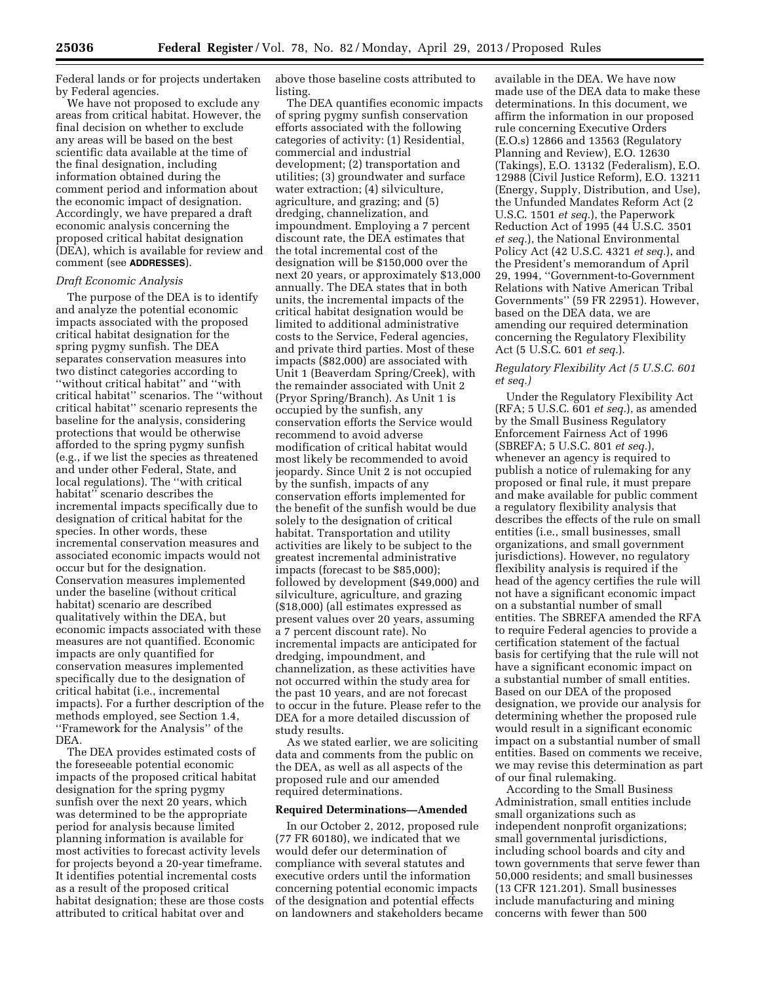Federal lands or for projects undertaken by Federal agencies.

We have not proposed to exclude any areas from critical habitat. However, the final decision on whether to exclude any areas will be based on the best scientific data available at the time of the final designation, including information obtained during the comment period and information about the economic impact of designation. Accordingly, we have prepared a draft economic analysis concerning the proposed critical habitat designation (DEA), which is available for review and comment (see **ADDRESSES**).

## *Draft Economic Analysis*

The purpose of the DEA is to identify and analyze the potential economic impacts associated with the proposed critical habitat designation for the spring pygmy sunfish. The DEA separates conservation measures into two distinct categories according to ''without critical habitat'' and ''with critical habitat'' scenarios. The ''without critical habitat'' scenario represents the baseline for the analysis, considering protections that would be otherwise afforded to the spring pygmy sunfish (e.g., if we list the species as threatened and under other Federal, State, and local regulations). The ''with critical habitat'' scenario describes the incremental impacts specifically due to designation of critical habitat for the species. In other words, these incremental conservation measures and associated economic impacts would not occur but for the designation. Conservation measures implemented under the baseline (without critical habitat) scenario are described qualitatively within the DEA, but economic impacts associated with these measures are not quantified. Economic impacts are only quantified for conservation measures implemented specifically due to the designation of critical habitat (i.e., incremental impacts). For a further description of the methods employed, see Section 1.4, ''Framework for the Analysis'' of the DEA.

The DEA provides estimated costs of the foreseeable potential economic impacts of the proposed critical habitat designation for the spring pygmy sunfish over the next 20 years, which was determined to be the appropriate period for analysis because limited planning information is available for most activities to forecast activity levels for projects beyond a 20-year timeframe. It identifies potential incremental costs as a result of the proposed critical habitat designation; these are those costs attributed to critical habitat over and

above those baseline costs attributed to listing.

The DEA quantifies economic impacts of spring pygmy sunfish conservation efforts associated with the following categories of activity: (1) Residential, commercial and industrial development; (2) transportation and utilities; (3) groundwater and surface water extraction; (4) silviculture, agriculture, and grazing; and (5) dredging, channelization, and impoundment. Employing a 7 percent discount rate, the DEA estimates that the total incremental cost of the designation will be \$150,000 over the next 20 years, or approximately \$13,000 annually. The DEA states that in both units, the incremental impacts of the critical habitat designation would be limited to additional administrative costs to the Service, Federal agencies, and private third parties. Most of these impacts (\$82,000) are associated with Unit 1 (Beaverdam Spring/Creek), with the remainder associated with Unit 2 (Pryor Spring/Branch). As Unit 1 is occupied by the sunfish, any conservation efforts the Service would recommend to avoid adverse modification of critical habitat would most likely be recommended to avoid jeopardy. Since Unit 2 is not occupied by the sunfish, impacts of any conservation efforts implemented for the benefit of the sunfish would be due solely to the designation of critical habitat. Transportation and utility activities are likely to be subject to the greatest incremental administrative impacts (forecast to be \$85,000); followed by development (\$49,000) and silviculture, agriculture, and grazing (\$18,000) (all estimates expressed as present values over 20 years, assuming a 7 percent discount rate). No incremental impacts are anticipated for dredging, impoundment, and channelization, as these activities have not occurred within the study area for the past 10 years, and are not forecast to occur in the future. Please refer to the DEA for a more detailed discussion of study results.

As we stated earlier, we are soliciting data and comments from the public on the DEA, as well as all aspects of the proposed rule and our amended required determinations.

#### **Required Determinations—Amended**

In our October 2, 2012, proposed rule (77 FR 60180), we indicated that we would defer our determination of compliance with several statutes and executive orders until the information concerning potential economic impacts of the designation and potential effects on landowners and stakeholders became

available in the DEA. We have now made use of the DEA data to make these determinations. In this document, we affirm the information in our proposed rule concerning Executive Orders (E.O.s) 12866 and 13563 (Regulatory Planning and Review), E.O. 12630 (Takings), E.O. 13132 (Federalism), E.O. 12988 (Civil Justice Reform), E.O. 13211 (Energy, Supply, Distribution, and Use), the Unfunded Mandates Reform Act (2 U.S.C. 1501 *et seq.*), the Paperwork Reduction Act of 1995 (44 U.S.C. 3501 *et seq.*), the National Environmental Policy Act (42 U.S.C. 4321 *et seq.*), and the President's memorandum of April 29, 1994, ''Government-to-Government Relations with Native American Tribal Governments'' (59 FR 22951). However, based on the DEA data, we are amending our required determination concerning the Regulatory Flexibility Act (5 U.S.C. 601 *et seq.*).

# *Regulatory Flexibility Act (5 U.S.C. 601 et seq.)*

Under the Regulatory Flexibility Act (RFA; 5 U.S.C. 601 *et seq.*), as amended by the Small Business Regulatory Enforcement Fairness Act of 1996 (SBREFA; 5 U.S.C. 801 *et seq.*), whenever an agency is required to publish a notice of rulemaking for any proposed or final rule, it must prepare and make available for public comment a regulatory flexibility analysis that describes the effects of the rule on small entities (i.e., small businesses, small organizations, and small government jurisdictions). However, no regulatory flexibility analysis is required if the head of the agency certifies the rule will not have a significant economic impact on a substantial number of small entities. The SBREFA amended the RFA to require Federal agencies to provide a certification statement of the factual basis for certifying that the rule will not have a significant economic impact on a substantial number of small entities. Based on our DEA of the proposed designation, we provide our analysis for determining whether the proposed rule would result in a significant economic impact on a substantial number of small entities. Based on comments we receive, we may revise this determination as part of our final rulemaking.

According to the Small Business Administration, small entities include small organizations such as independent nonprofit organizations; small governmental jurisdictions, including school boards and city and town governments that serve fewer than 50,000 residents; and small businesses (13 CFR 121.201). Small businesses include manufacturing and mining concerns with fewer than 500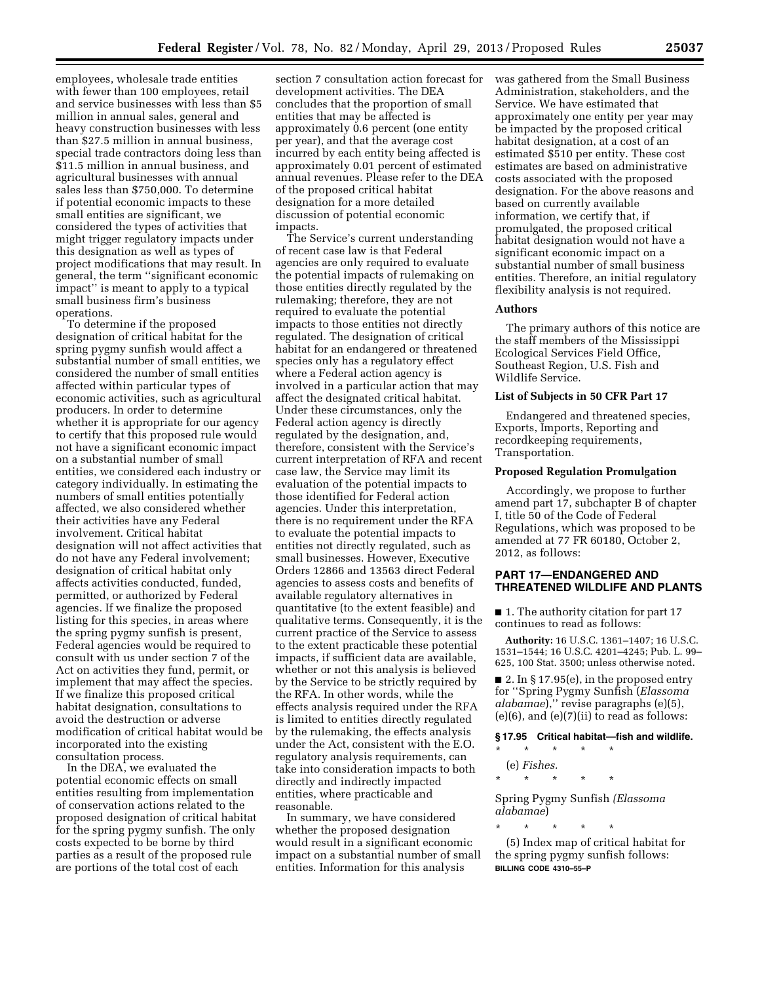employees, wholesale trade entities with fewer than 100 employees, retail and service businesses with less than \$5 million in annual sales, general and heavy construction businesses with less than \$27.5 million in annual business, special trade contractors doing less than \$11.5 million in annual business, and agricultural businesses with annual sales less than \$750,000. To determine if potential economic impacts to these small entities are significant, we considered the types of activities that might trigger regulatory impacts under this designation as well as types of project modifications that may result. In general, the term ''significant economic impact'' is meant to apply to a typical small business firm's business operations.

To determine if the proposed designation of critical habitat for the spring pygmy sunfish would affect a substantial number of small entities, we considered the number of small entities affected within particular types of economic activities, such as agricultural producers. In order to determine whether it is appropriate for our agency to certify that this proposed rule would not have a significant economic impact on a substantial number of small entities, we considered each industry or category individually. In estimating the numbers of small entities potentially affected, we also considered whether their activities have any Federal involvement. Critical habitat designation will not affect activities that do not have any Federal involvement; designation of critical habitat only affects activities conducted, funded, permitted, or authorized by Federal agencies. If we finalize the proposed listing for this species, in areas where the spring pygmy sunfish is present, Federal agencies would be required to consult with us under section 7 of the Act on activities they fund, permit, or implement that may affect the species. If we finalize this proposed critical habitat designation, consultations to avoid the destruction or adverse modification of critical habitat would be incorporated into the existing consultation process.

In the DEA, we evaluated the potential economic effects on small entities resulting from implementation of conservation actions related to the proposed designation of critical habitat for the spring pygmy sunfish. The only costs expected to be borne by third parties as a result of the proposed rule are portions of the total cost of each

section 7 consultation action forecast for development activities. The DEA concludes that the proportion of small entities that may be affected is approximately 0.6 percent (one entity per year), and that the average cost incurred by each entity being affected is approximately 0.01 percent of estimated annual revenues. Please refer to the DEA of the proposed critical habitat designation for a more detailed discussion of potential economic impacts.

The Service's current understanding of recent case law is that Federal agencies are only required to evaluate the potential impacts of rulemaking on those entities directly regulated by the rulemaking; therefore, they are not required to evaluate the potential impacts to those entities not directly regulated. The designation of critical habitat for an endangered or threatened species only has a regulatory effect where a Federal action agency is involved in a particular action that may affect the designated critical habitat. Under these circumstances, only the Federal action agency is directly regulated by the designation, and, therefore, consistent with the Service's current interpretation of RFA and recent case law, the Service may limit its evaluation of the potential impacts to those identified for Federal action agencies. Under this interpretation, there is no requirement under the RFA to evaluate the potential impacts to entities not directly regulated, such as small businesses. However, Executive Orders 12866 and 13563 direct Federal agencies to assess costs and benefits of available regulatory alternatives in quantitative (to the extent feasible) and qualitative terms. Consequently, it is the current practice of the Service to assess to the extent practicable these potential impacts, if sufficient data are available, whether or not this analysis is believed by the Service to be strictly required by the RFA. In other words, while the effects analysis required under the RFA is limited to entities directly regulated by the rulemaking, the effects analysis under the Act, consistent with the E.O. regulatory analysis requirements, can take into consideration impacts to both directly and indirectly impacted entities, where practicable and reasonable.

In summary, we have considered whether the proposed designation would result in a significant economic impact on a substantial number of small entities. Information for this analysis

was gathered from the Small Business Administration, stakeholders, and the Service. We have estimated that approximately one entity per year may be impacted by the proposed critical habitat designation, at a cost of an estimated \$510 per entity. These cost estimates are based on administrative costs associated with the proposed designation. For the above reasons and based on currently available information, we certify that, if promulgated, the proposed critical habitat designation would not have a significant economic impact on a substantial number of small business entities. Therefore, an initial regulatory flexibility analysis is not required.

#### **Authors**

The primary authors of this notice are the staff members of the Mississippi Ecological Services Field Office, Southeast Region, U.S. Fish and Wildlife Service.

## **List of Subjects in 50 CFR Part 17**

Endangered and threatened species, Exports, Imports, Reporting and recordkeeping requirements, Transportation.

#### **Proposed Regulation Promulgation**

Accordingly, we propose to further amend part 17, subchapter B of chapter I, title 50 of the Code of Federal Regulations, which was proposed to be amended at 77 FR 60180, October 2, 2012, as follows:

# **PART 17—ENDANGERED AND THREATENED WILDLIFE AND PLANTS**

■ 1. The authority citation for part 17 continues to read as follows:

**Authority:** 16 U.S.C. 1361–1407; 16 U.S.C. 1531–1544; 16 U.S.C. 4201–4245; Pub. L. 99– 625, 100 Stat. 3500; unless otherwise noted.

■ 2. In § 17.95(e), in the proposed entry for ''Spring Pygmy Sunfish (*Elassoma alabamae*),'' revise paragraphs (e)(5),  $(e)(6)$ , and  $(e)(7)(ii)$  to read as follows:

# **§ 17.95 Critical habitat—fish and wildlife.**

- \* \* \* \* \* (e) *Fishes.*
- \* \* \* \* \*

Spring Pygmy Sunfish *(Elassoma alabamae*)

\* \* \* \* \*

(5) Index map of critical habitat for the spring pygmy sunfish follows: **BILLING CODE 4310–55–P**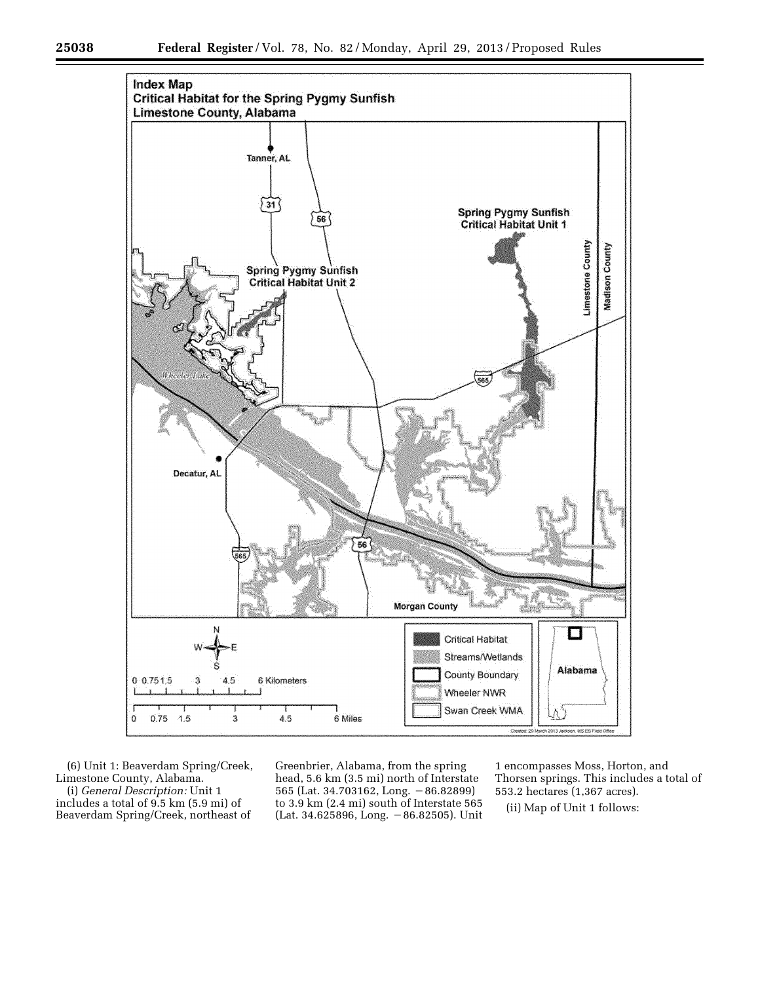

(6) Unit 1: Beaverdam Spring/Creek, Limestone County, Alabama. (i) *General Description:* Unit 1 includes a total of 9.5 km (5.9 mi) of

Beaverdam Spring/Creek, northeast of

Greenbrier, Alabama, from the spring head, 5.6 km (3.5 mi) north of Interstate 565 (Lat. 34.703162, Long. - 86.82899) to 3.9 km (2.4 mi) south of Interstate 565 (Lat. 34.625896, Long.  $-86.82505$ ). Unit

1 encompasses Moss, Horton, and Thorsen springs. This includes a total of 553.2 hectares (1,367 acres).

(ii) Map of Unit 1 follows: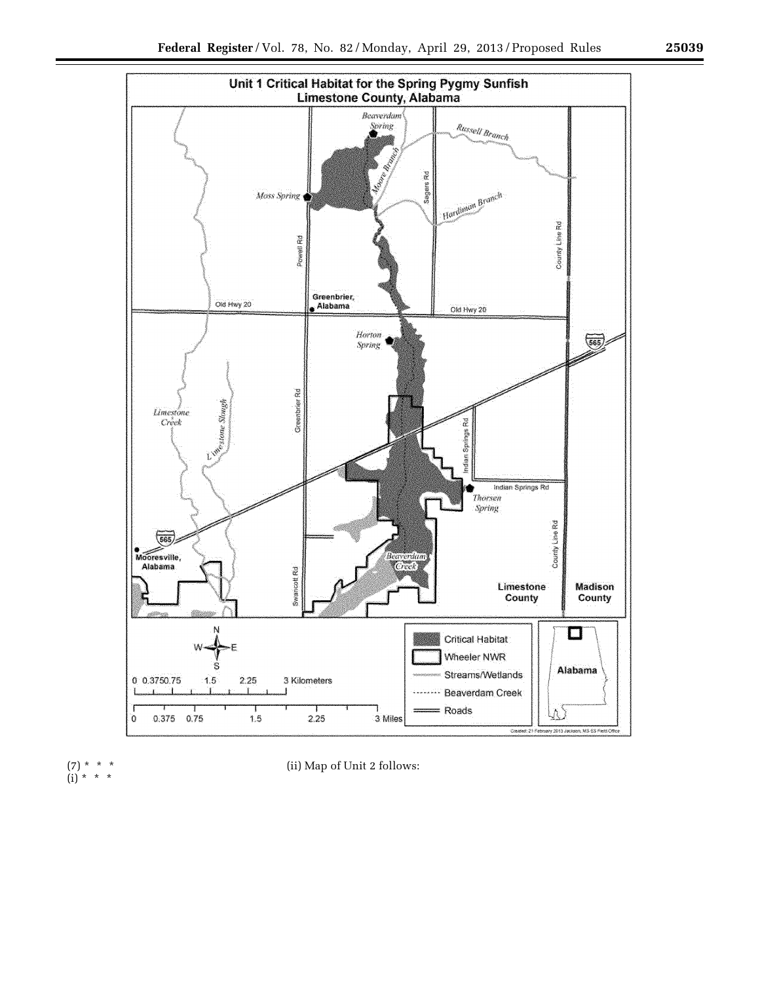





e.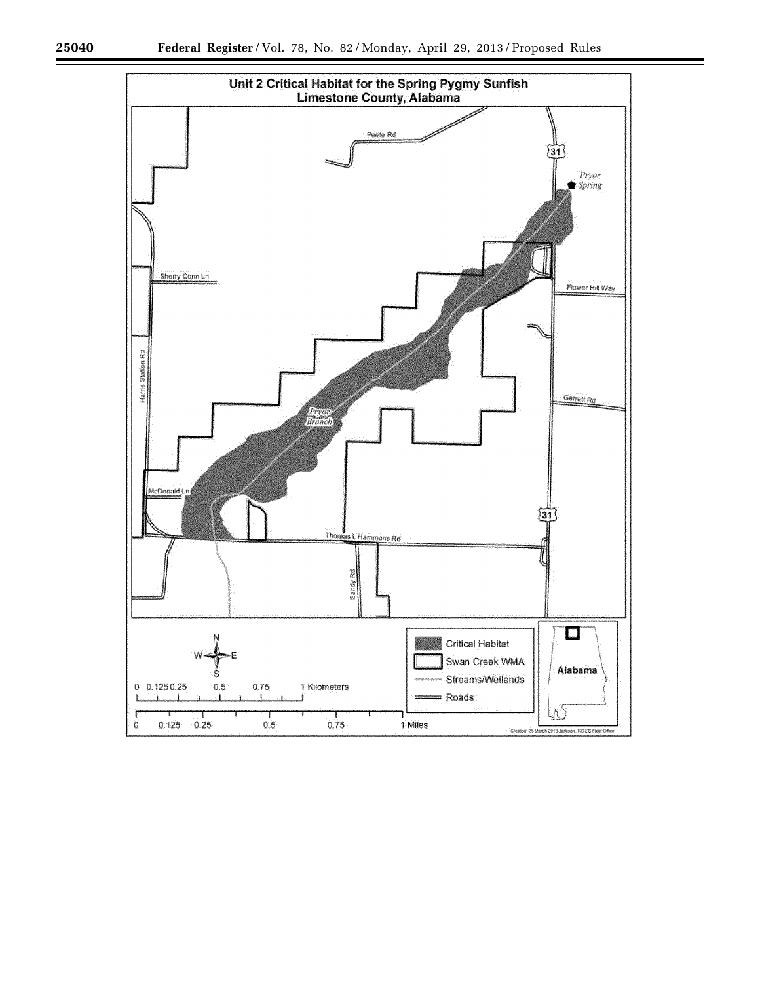۳